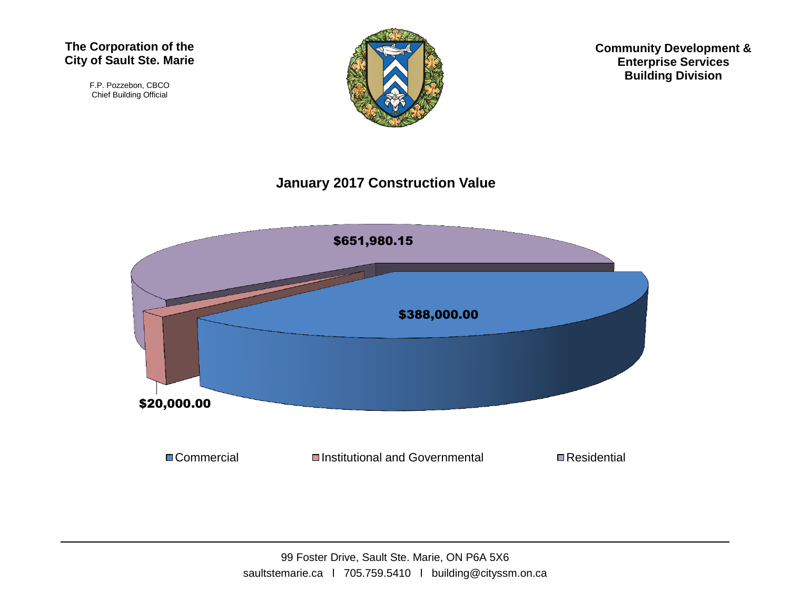F.P. Pozzebon, CBCO Chief Building Official



**Community Development & Enterprise Services Building Division**

## **January 2017 Construction Value**

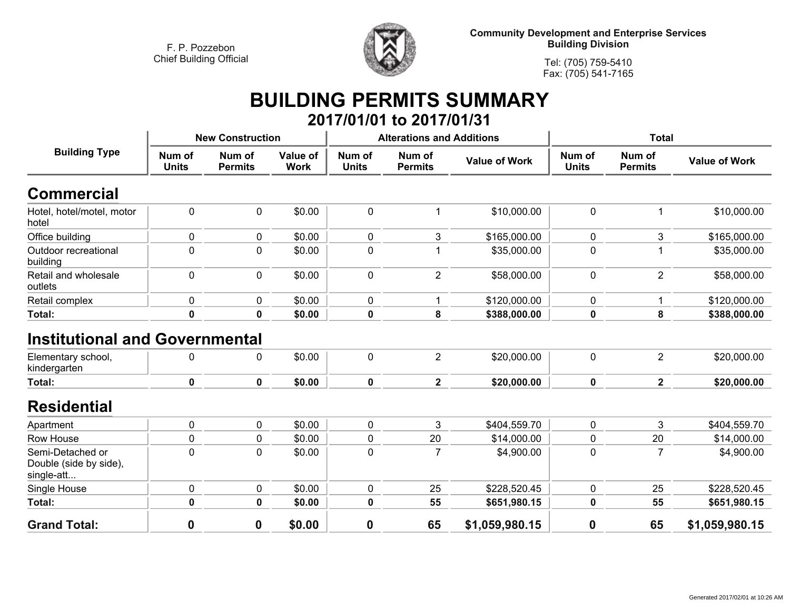

**Community Development and Enterprise Services Building Division**

**Tel: (705) 759-5410Fax: (705) 541-7165**

## **BUILDING PERMITS SUMMARY 2017/01/01 to 2017/01/31**

| <b>Building Type</b>                                                        | <b>New Construction</b> |                          |                         |                        | <b>Alterations and Additions</b> |                      | <b>Total</b>           |                          |                      |
|-----------------------------------------------------------------------------|-------------------------|--------------------------|-------------------------|------------------------|----------------------------------|----------------------|------------------------|--------------------------|----------------------|
|                                                                             | Num of<br><b>Units</b>  | Num of<br><b>Permits</b> | Value of<br><b>Work</b> | Num of<br><b>Units</b> | Num of<br><b>Permits</b>         | <b>Value of Work</b> | Num of<br><b>Units</b> | Num of<br><b>Permits</b> | <b>Value of Work</b> |
| Commercial                                                                  |                         |                          |                         |                        |                                  |                      |                        |                          |                      |
| Hotel, hotel/motel, motor<br>hotel                                          | $\pmb{0}$               | $\mathbf 0$              | \$0.00                  | $\pmb{0}$              | 1                                | \$10,000.00          | 0                      |                          | \$10,000.00          |
| Office building                                                             | 0                       | 0                        | \$0.00                  | $\mathbf 0$            | 3                                | \$165,000.00         | 0                      | 3                        | \$165,000.00         |
| Outdoor recreational<br>building                                            | $\pmb{0}$               | $\pmb{0}$                | \$0.00                  | $\pmb{0}$              |                                  | \$35,000.00          | 0                      |                          | \$35,000.00          |
| Retail and wholesale<br>outlets                                             | $\pmb{0}$               | $\mathbf 0$              | \$0.00                  | 0                      | $\overline{2}$                   | \$58,000.00          | 0                      | $\overline{2}$           | \$58,000.00          |
| Retail complex                                                              | $\pmb{0}$               | 0                        | \$0.00                  | 0                      |                                  | \$120,000.00         | 0                      |                          | \$120,000.00         |
| Total:                                                                      | $\pmb{0}$               | $\pmb{0}$                | \$0.00                  | $\bf{0}$               | 8                                | \$388,000.00         | 0                      | 8                        | \$388,000.00         |
| <b>Institutional and Governmental</b><br>Elementary school,<br>kindergarten | 0                       | 0                        | \$0.00                  | 0                      | $\overline{\mathbf{c}}$          | \$20,000.00          | 0                      | $\overline{2}$           | \$20,000.00          |
| Total:                                                                      | $\mathbf 0$             | 0                        | \$0.00                  | $\mathbf 0$            | $\overline{2}$                   | \$20,000.00          | 0                      | $\mathbf{2}$             | \$20,000.00          |
| <b>Residential</b>                                                          |                         |                          |                         |                        |                                  |                      |                        |                          |                      |
| Apartment                                                                   | $\pmb{0}$               | 0                        | \$0.00                  | $\mathbf 0$            | 3                                | \$404,559.70         | 0                      | 3                        | \$404,559.70         |
| Row House                                                                   | $\pmb{0}$               | $\mathbf 0$              | \$0.00                  | 0                      | 20                               | \$14,000.00          | 0                      | 20                       | \$14,000.00          |
| Semi-Detached or<br>Double (side by side),<br>single-att                    | $\mathbf 0$             | $\mathbf 0$              | \$0.00                  | $\mathbf 0$            | $\overline{7}$                   | \$4,900.00           | 0                      | 7                        | \$4,900.00           |
| Single House                                                                | $\pmb{0}$               | $\mathbf 0$              | \$0.00                  | $\pmb{0}$              | 25                               | \$228,520.45         | 0                      | 25                       | \$228,520.45         |
| Total:                                                                      | $\mathbf 0$             | $\mathbf 0$              | \$0.00                  | $\bf{0}$               | 55                               | \$651,980.15         | 0                      | 55                       | \$651,980.15         |
| <b>Grand Total:</b>                                                         | 0                       | 0                        | \$0.00                  | $\boldsymbol{0}$       | 65                               | \$1,059,980.15       | $\mathbf 0$            | 65                       | \$1,059,980.15       |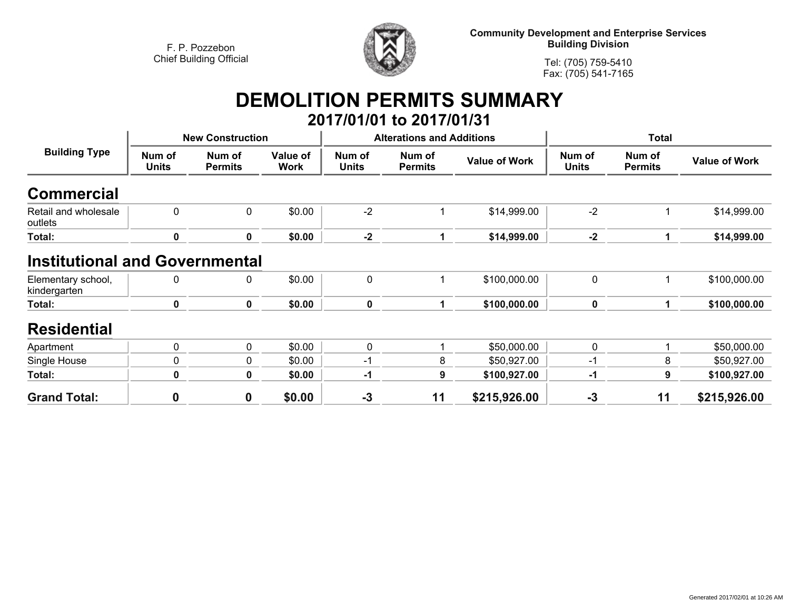

**Community Development and Enterprise Services Building Division**

**Tel: (705) 759-5410Fax: (705) 541-7165**

## **DEMOLITION PERMITS SUMMARY**

|                                                             |                         |                          |                         |                        | 2017/01/01 to 2017/01/31         |                      |                        |                          |                      |
|-------------------------------------------------------------|-------------------------|--------------------------|-------------------------|------------------------|----------------------------------|----------------------|------------------------|--------------------------|----------------------|
| <b>Building Type</b>                                        | <b>New Construction</b> |                          |                         |                        | <b>Alterations and Additions</b> |                      | <b>Total</b>           |                          |                      |
|                                                             | Num of<br><b>Units</b>  | Num of<br><b>Permits</b> | Value of<br><b>Work</b> | Num of<br><b>Units</b> | Num of<br><b>Permits</b>         | <b>Value of Work</b> | Num of<br><b>Units</b> | Num of<br><b>Permits</b> | <b>Value of Work</b> |
| <b>Commercial</b>                                           |                         |                          |                         |                        |                                  |                      |                        |                          |                      |
| Retail and wholesale<br>outlets                             | 0                       | 0                        | \$0.00                  | $-2$                   |                                  | \$14,999.00          | $-2$                   | 1                        | \$14,999.00          |
| Total:                                                      | 0                       | 0                        | \$0.00                  | $-2$                   |                                  | \$14,999.00          | $-2$                   | 1                        | \$14,999.00          |
| <b>Institutional and Governmental</b><br>Elementary school, | 0                       | 0                        | \$0.00                  | 0                      |                                  | \$100,000.00         | $\pmb{0}$              |                          | \$100,000.00         |
| kindergarten                                                |                         |                          |                         |                        |                                  |                      |                        |                          |                      |
| Total:                                                      | 0                       | $\mathbf 0$              | \$0.00                  | $\pmb{0}$              | 1                                | \$100,000.00         | $\mathbf 0$            | 1                        | \$100,000.00         |
| <b>Residential</b>                                          |                         |                          |                         |                        |                                  |                      |                        |                          |                      |
| Apartment                                                   | 0                       | $\mathbf 0$              | \$0.00                  | 0                      |                                  | \$50,000.00          | $\mathbf 0$            |                          | \$50,000.00          |
| Single House                                                | 0                       | 0                        | \$0.00                  | -1                     | 8                                | \$50,927.00          | $-1$                   | 8                        | \$50,927.00          |
| Total:                                                      | 0                       | 0                        | \$0.00                  | $-1$                   | 9                                | \$100,927.00         | -1                     | 9                        | \$100,927.00         |
| <b>Grand Total:</b>                                         | $\mathbf 0$             | $\mathbf 0$              | \$0.00                  | $-3$                   | 11                               | \$215,926.00         | $-3$                   | 11                       | \$215,926.00         |